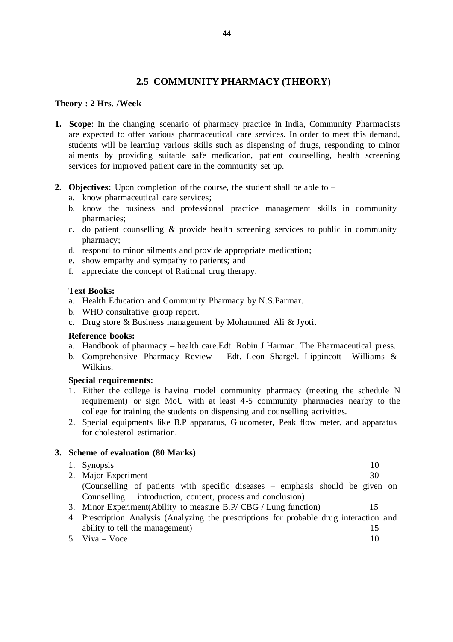## **2.5 COMMUNITY PHARMACY (THEORY)**

#### **Theory : 2 Hrs. /Week**

- **1. Scope**: In the changing scenario of pharmacy practice in India, Community Pharmacists are expected to offer various pharmaceutical care services. In order to meet this demand, students will be learning various skills such as dispensing of drugs, responding to minor ailments by providing suitable safe medication, patient counselling, health screening services for improved patient care in the community set up.
- **2. Objectives:** Upon completion of the course, the student shall be able to
	- a. know pharmaceutical care services;
	- b. know the business and professional practice management skills in community pharmacies;
	- c. do patient counselling & provide health screening services to public in community pharmacy;
	- d. respond to minor ailments and provide appropriate medication;
	- e. show empathy and sympathy to patients; and
	- f. appreciate the concept of Rational drug therapy.

#### **Text Books:**

- a. Health Education and Community Pharmacy by N.S.Parmar.
- b. WHO consultative group report.
- c. Drug store & Business management by Mohammed Ali & Jyoti.

#### **Reference books:**

- a. Handbook of pharmacy health care.Edt. Robin J Harman. The Pharmaceutical press.
- b. Comprehensive Pharmacy Review Edt. Leon Shargel. Lippincott Williams & Wilkins.

#### **Special requirements:**

- 1. Either the college is having model community pharmacy (meeting the schedule N requirement) or sign MoU with at least 4 -5 community pharmacies nearby to the college for training the students on dispensing and counselling activities.
- 2. Special equipments like B.P apparatus, Glucometer, Peak flow meter, and apparatus for cholesterol estimation.

#### **3. Scheme of evaluation (80 Marks)**

| 1. Synopsis<br>2. Major Experiment                                            | 10<br>30 |  |
|-------------------------------------------------------------------------------|----------|--|
| (Counselling of patients with specific diseases – emphasis should be given on |          |  |
| Counselling introduction, content, process and conclusion)                    |          |  |
|                                                                               |          |  |

- 3. Minor Experiment(Ability to measure B.P/ CBG / Lung function) 15
- 4. Prescription Analysis (Analyzing the prescriptions for probable drug interaction and ability to tell the management) 15
- $5. \text{Viva} \text{Voce}$  10